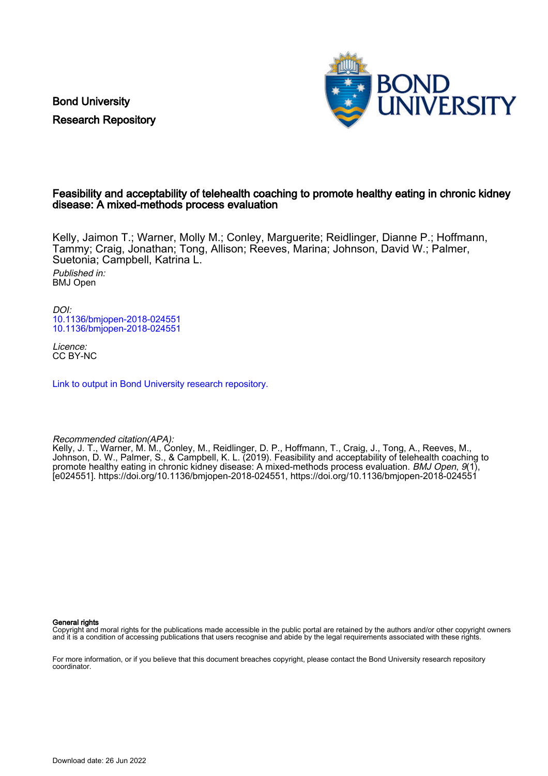Bond University Research Repository



# Feasibility and acceptability of telehealth coaching to promote healthy eating in chronic kidney disease: A mixed-methods process evaluation

Kelly, Jaimon T.; Warner, Molly M.; Conley, Marguerite; Reidlinger, Dianne P.; Hoffmann, Tammy; Craig, Jonathan; Tong, Allison; Reeves, Marina; Johnson, David W.; Palmer, Suetonia; Campbell, Katrina L. Published in: BMJ Open

DOI: [10.1136/bmjopen-2018-024551](https://doi.org/10.1136/bmjopen-2018-024551) [10.1136/bmjopen-2018-024551](https://doi.org/10.1136/bmjopen-2018-024551)

Licence: CC BY-NC

[Link to output in Bond University research repository.](https://research.bond.edu.au/en/publications/86e0179e-174c-4b43-9ced-e5451a071400)

Recommended citation(APA):

Kelly, J. T., Warner, M. M., Conley, M., Reidlinger, D. P., Hoffmann, T., Craig, J., Tong, A., Reeves, M., Johnson, D. W., Palmer, S., & Campbell, K. L. (2019). Feasibility and acceptability of telehealth coaching to promote healthy eating in chronic kidney disease: A mixed-methods process evaluation. BMJ Open, 9(1), [e024551]. [https://doi.org/10.1136/bmjopen-2018-024551, https://doi.org/10.1136/bmjopen-2018-024551](https://doi.org/10.1136/bmjopen-2018-024551)

General rights

Copyright and moral rights for the publications made accessible in the public portal are retained by the authors and/or other copyright owners and it is a condition of accessing publications that users recognise and abide by the legal requirements associated with these rights.

For more information, or if you believe that this document breaches copyright, please contact the Bond University research repository coordinator.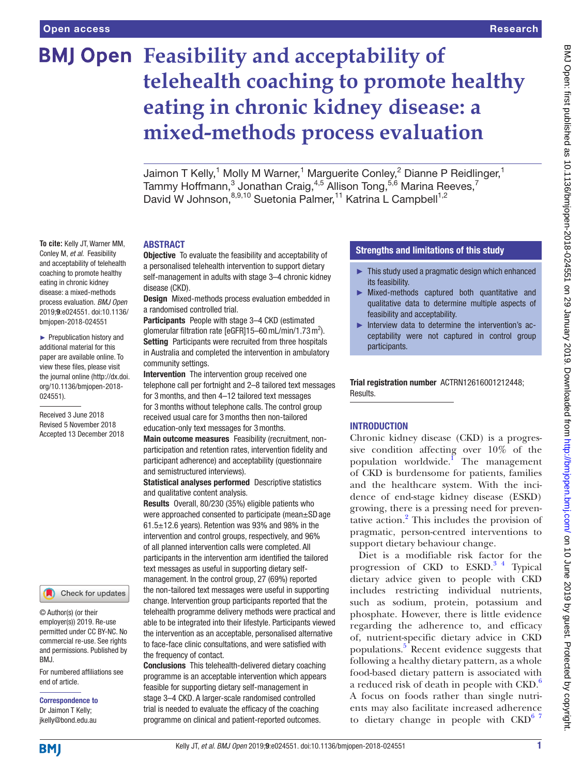**To cite:** Kelly JT, Warner MM, Conley M, *et al*. Feasibility and acceptability of telehealth coaching to promote healthy eating in chronic kidney disease: a mixed-methods process evaluation. *BMJ Open* 2019;9:e024551. doi:10.1136/ bmjopen-2018-024551 ► Prepublication history and additional material for this paper are available online. To view these files, please visit the journal online [\(http://dx.doi.](http://dx.doi.org/10.1136/bmjopen-2018-024551) [org/10.1136/bmjopen-2018-](http://dx.doi.org/10.1136/bmjopen-2018-024551)

[024551\)](http://dx.doi.org/10.1136/bmjopen-2018-024551).

Received 3 June 2018 Revised 5 November 2018 Accepted 13 December 2018

# **BMJ Open Feasibility and acceptability of telehealth coaching to promote healthy eating in chronic kidney disease: a mixed-methods process evaluation**

Jaimon T Kelly,<sup>1</sup> Molly M Warner,<sup>1</sup> Marguerite Conley,<sup>2</sup> Dianne P Reidlinger,<sup>1</sup> Tammy Hoffmann, $^3$  Jonathan Craig, $^{4,5}$  Allison Tong, $^{5,6}$  Marina Reeves, $^7$ David W Johnson, 8,9,10 Suetonia Palmer, <sup>11</sup> Katrina L Campbell<sup>1,2</sup>

## **ABSTRACT**

**Objective** To evaluate the feasibility and acceptability of a personalised telehealth intervention to support dietary self-management in adults with stage 3–4 chronic kidney disease (CKD).

Design Mixed-methods process evaluation embedded in a randomised controlled trial.

Participants People with stage 3-4 CKD (estimated glomerular filtration rate [eGFR]15–60 mL/min/1.73 m<sup>2</sup>). Setting Participants were recruited from three hospitals in Australia and completed the intervention in ambulatory community settings.

Intervention The intervention group received one telephone call per fortnight and 2–8 tailored text messages for 3months, and then 4–12 tailored text messages for 3months without telephone calls. The control group received usual care for 3months then non-tailored education-only text messages for 3months.

Main outcome measures Feasibility (recruitment, nonparticipation and retention rates, intervention fidelity and participant adherence) and acceptability (questionnaire and semistructured interviews).

Statistical analyses performed Descriptive statistics and qualitative content analysis.

Results Overall, 80/230 (35%) eligible patients who were approached consented to participate (mean±SDage  $61.5\pm12.6$  years). Retention was 93% and 98% in the intervention and control groups, respectively, and 96% of all planned intervention calls were completed. All participants in the intervention arm identified the tailored text messages as useful in supporting dietary selfmanagement. In the control group, 27 (69%) reported the non-tailored text messages were useful in supporting change. Intervention group participants reported that the telehealth programme delivery methods were practical and able to be integrated into their lifestyle. Participants viewed the intervention as an acceptable, personalised alternative to face-face clinic consultations, and were satisfied with the frequency of contact.

Conclusions This telehealth-delivered dietary coaching programme is an acceptable intervention which appears feasible for supporting dietary self-management in stage 3–4 CKD. A larger-scale randomised controlled trial is needed to evaluate the efficacy of the coaching programme on clinical and patient-reported outcomes.

#### Strengths and limitations of this study

- $\blacktriangleright$  This study used a pragmatic design which enhanced its feasibility.
- ► Mixed-methods captured both quantitative and qualitative data to determine multiple aspects of feasibility and acceptability.
- ► Interview data to determine the intervention's acceptability were not captured in control group participants.

Trial registration number ACTRN12616001212448; **Results** 

#### **INTRODUCTION**

Chronic kidney disease (CKD) is a progressive condition affecting over 10% of the population worldwide.<sup>I</sup> The management of CKD is burdensome for patients, families and the healthcare system. With the incidence of end-stage kidney disease (ESKD) growing, there is a pressing need for preventative action.[2](#page-11-1) This includes the provision of pragmatic, person-centred interventions to support dietary behaviour change.

Diet is a modifiable risk factor for the progression of CKD to  $ESKD.<sup>3-4</sup>$  Typical dietary advice given to people with CKD includes restricting individual nutrients, such as sodium, protein, potassium and phosphate. However, there is little evidence regarding the adherence to, and efficacy of, nutrient-specific dietary advice in CKD populations.<sup>[5](#page-11-3)</sup> Recent evidence suggests that following a healthy dietary pattern, as a whole food-based dietary pattern is associated with a reduced risk of death in people with CKD.<sup>6</sup> A focus on foods rather than single nutrients may also facilitate increased adherence to dietary change in people with  $\text{CKD}^{6}$ <sup>7</sup>

permitted under CC BY-NC. No commercial re-use. See rights

© Author(s) (or their employer(s)) 2019. Re-use

For numbered affiliations see and permissions. Published by BMJ.

Check for updates

end of article.

Correspondence to Dr Jaimon T Kelly; jkelly@bond.edu.au

**BMI**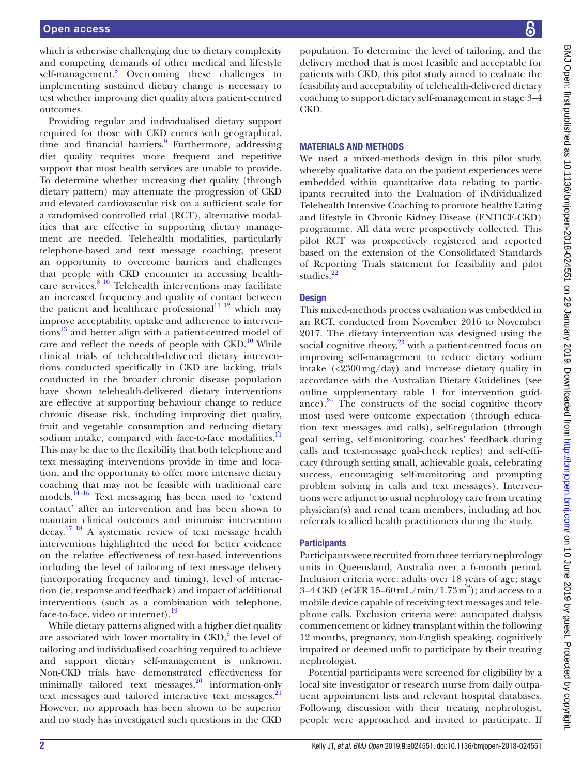which is otherwise challenging due to dietary complexity and competing demands of other medical and lifestyle self-management.<sup>8</sup> Overcoming these challenges to implementing sustained dietary change is necessary to test whether improving diet quality alters patient-centred outcomes.

Providing regular and individualised dietary support required for those with CKD comes with geographical, time and financial barriers.<sup>[9](#page-11-6)</sup> Furthermore, addressing diet quality requires more frequent and repetitive support that most health services are unable to provide. To determine whether increasing diet quality (through dietary pattern) may attenuate the progression of CKD and elevated cardiovascular risk on a sufficient scale for a randomised controlled trial (RCT), alternative modalities that are effective in supporting dietary management are needed. Telehealth modalities, particularly telephone-based and text message coaching, present an opportunity to overcome barriers and challenges that people with CKD encounter in accessing health-care services.<sup>[8 10](#page-11-5)</sup> Telehealth interventions may facilitate an increased frequency and quality of contact between the patient and healthcare professional $11$   $12$  which may improve acceptability, uptake and adherence to interven $tions<sup>13</sup>$  and better align with a patient-centred model of care and reflect the needs of people with  $CKD$ .<sup>10</sup> While clinical trials of telehealth-delivered dietary interventions conducted specifically in CKD are lacking, trials conducted in the broader chronic disease population have shown telehealth-delivered dietary interventions are effective at supporting behaviour change to reduce chronic disease risk, including improving diet quality, fruit and vegetable consumption and reducing dietary sodium intake, compared with face-to-face modalities.<sup>11</sup> This may be due to the flexibility that both telephone and text messaging interventions provide in time and location, and the opportunity to offer more intensive dietary coaching that may not be feasible with traditional care models.<sup> $14-16$ </sup> Text messaging has been used to 'extend contact' after an intervention and has been shown to maintain clinical outcomes and minimise intervention decay.<sup>[17 18](#page-12-1)</sup> A systematic review of text message health interventions highlighted the need for better evidence on the relative effectiveness of text-based interventions including the level of tailoring of text message delivery (incorporating frequency and timing), level of interaction (ie, response and feedback) and impact of additional interventions (such as a combination with telephone, face-to-face, video or internet). $\frac{19}{19}$  $\frac{19}{19}$  $\frac{19}{19}$ 

While dietary patterns aligned with a higher diet quality are associated with lower mortality in  $\mathrm{CKD,}^6$  $\mathrm{CKD,}^6$  the level of tailoring and individualised coaching required to achieve and support dietary self-management is unknown. Non-CKD trials have demonstrated effectiveness for minimally tailored text messages, $^{20}$  information-only text messages and tailored interactive text messages.<sup>[21](#page-12-4)</sup> However, no approach has been shown to be superior and no study has investigated such questions in the CKD

population. To determine the level of tailoring, and the delivery method that is most feasible and acceptable for patients with CKD, this pilot study aimed to evaluate the feasibility and acceptability of telehealth-delivered dietary coaching to support dietary self-management in stage 3–4 CKD.

## Materials and methods

We used a mixed-methods design in this pilot study, whereby qualitative data on the patient experiences were embedded within quantitative data relating to participants recruited into the Evaluation of iNdividualized Telehealth Intensive Coaching to promote healthy Eating and lifestyle in Chronic Kidney Disease (ENTICE-CKD) programme. All data were prospectively collected. This pilot RCT was prospectively registered and reported based on the extension of the Consolidated Standards of Reporting Trials statement for feasibility and pilot studies.<sup>22</sup>

## Design

This mixed-methods process evaluation was embedded in an RCT, conducted from November 2016 to November 2017. The dietary intervention was designed using the social cognitive theory, $23$  with a patient-centred focus on improving self-management to reduce dietary sodium intake (<2300mg/day) and increase dietary quality in accordance with the Australian Dietary Guidelines (see online [supplementary table 1](https://dx.doi.org/10.1136/bmjopen-2018-024551) for intervention guidance). $^{24}$  $^{24}$  $^{24}$  The constructs of the social cognitive theory most used were outcome expectation (through education text messages and calls), self-regulation (through goal setting, self-monitoring, coaches' feedback during calls and text-message goal-check replies) and self-efficacy (through setting small, achievable goals, celebrating success, encouraging self-monitoring and prompting problem solving in calls and text messages). Interventions were adjunct to usual nephrology care from treating physician(s) and renal team members, including ad hoc referrals to allied health practitioners during the study.

#### **Participants**

Participants were recruited from three tertiary nephrology units in Queensland, Australia over a 6-month period. Inclusion criteria were: adults over 18 years of age; stage 3–4 CKD (eGFR 15–60 mL/min/1.73 m<sup>2</sup>); and access to a mobile device capable of receiving text messages and telephone calls. Exclusion criteria were: anticipated dialysis commencement or kidney transplant within the following 12 months, pregnancy, non-English speaking, cognitively impaired or deemed unfit to participate by their treating nephrologist.

Potential participants were screened for eligibility by a local site investigator or research nurse from daily outpatient appointment lists and relevant hospital databases. Following discussion with their treating nephrologist, people were approached and invited to participate. If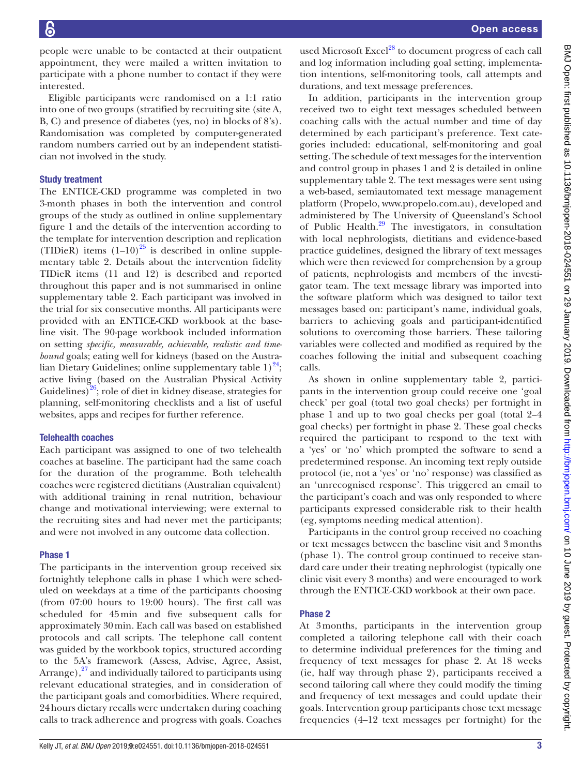people were unable to be contacted at their outpatient appointment, they were mailed a written invitation to participate with a phone number to contact if they were interested.

Eligible participants were randomised on a 1:1 ratio into one of two groups (stratified by recruiting site (site A, B, C) and presence of diabetes (yes, no) in blocks of 8's). Randomisation was completed by computer-generated random numbers carried out by an independent statistician not involved in the study.

## Study treatment

The ENTICE-CKD programme was completed in two 3-month phases in both the intervention and control groups of the study as outlined in online [supplementary](https://dx.doi.org/10.1136/bmjopen-2018-024551) [figure 1](https://dx.doi.org/10.1136/bmjopen-2018-024551) and the details of the intervention according to the template for intervention description and replication (TIDieR) items  $(1-10)^{25}$  is described in online [supple](https://dx.doi.org/10.1136/bmjopen-2018-024551)[mentary table 2.](https://dx.doi.org/10.1136/bmjopen-2018-024551) Details about the intervention fidelity TIDieR items (11 and 12) is described and reported throughout this paper and is not summarised in online [supplementary table 2.](https://dx.doi.org/10.1136/bmjopen-2018-024551) Each participant was involved in the trial for six consecutive months. All participants were provided with an ENTICE-CKD workbook at the baseline visit. The 90-page workbook included information on setting *specific, measurable, achievable, realistic and timebound* goals; eating well for kidneys (based on the Australian Dietary Guidelines; online supplementary table  $1)^{24}$ ; active living (based on the Australian Physical Activity Guidelines)<sup>26</sup>; role of diet in kidney disease, strategies for planning, self-monitoring checklists and a list of useful websites, apps and recipes for further reference.

# Telehealth coaches

Each participant was assigned to one of two telehealth coaches at baseline. The participant had the same coach for the duration of the programme. Both telehealth coaches were registered dietitians (Australian equivalent) with additional training in renal nutrition, behaviour change and motivational interviewing; were external to the recruiting sites and had never met the participants; and were not involved in any outcome data collection.

## Phase 1

The participants in the intervention group received six fortnightly telephone calls in phase 1 which were scheduled on weekdays at a time of the participants choosing (from 07:00 hours to 19:00 hours). The first call was scheduled for 45min and five subsequent calls for approximately 30min. Each call was based on established protocols and call scripts. The telephone call content was guided by the workbook topics, structured according to the 5A's framework (Assess, Advise, Agree, Assist, Arrange), $^{27}$  and individually tailored to participants using relevant educational strategies, and in consideration of the participant goals and comorbidities. Where required, 24hours dietary recalls were undertaken during coaching calls to track adherence and progress with goals. Coaches

used Microsoft Excel<sup>[28](#page-12-11)</sup> to document progress of each call and log information including goal setting, implementation intentions, self-monitoring tools, call attempts and durations, and text message preferences.

In addition, participants in the intervention group received two to eight text messages scheduled between coaching calls with the actual number and time of day determined by each participant's preference. Text categories included: educational, self-monitoring and goal setting. The schedule of text messages for the intervention and control group in phases 1 and 2 is detailed in online [supplementary table 2.](https://dx.doi.org/10.1136/bmjopen-2018-024551) The text messages were sent using a web-based, semiautomated text message management platform (Propelo, [www.propelo.com.au\)](www.propelo.com.au), developed and administered by The University of Queensland's School of Public Health.<sup>29</sup> The investigators, in consultation with local nephrologists, dietitians and evidence-based practice guidelines, designed the library of text messages which were then reviewed for comprehension by a group of patients, nephrologists and members of the investigator team. The text message library was imported into the software platform which was designed to tailor text messages based on: participant's name, individual goals, barriers to achieving goals and participant-identified solutions to overcoming those barriers. These tailoring variables were collected and modified as required by the coaches following the initial and subsequent coaching calls.

As shown in online [supplementary table 2](https://dx.doi.org/10.1136/bmjopen-2018-024551), participants in the intervention group could receive one 'goal check' per goal (total two goal checks) per fortnight in phase 1 and up to two goal checks per goal (total 2–4 goal checks) per fortnight in phase 2. These goal checks required the participant to respond to the text with a 'yes' or 'no' which prompted the software to send a predetermined response. An incoming text reply outside protocol (ie, not a 'yes' or 'no' response) was classified as an 'unrecognised response'. This triggered an email to the participant's coach and was only responded to where participants expressed considerable risk to their health (eg, symptoms needing medical attention).

Participants in the control group received no coaching or text messages between the baseline visit and 3months (phase 1). The control group continued to receive standard care under their treating nephrologist (typically one clinic visit every 3 months) and were encouraged to work through the ENTICE-CKD workbook at their own pace.

# Phase 2

At 3months, participants in the intervention group completed a tailoring telephone call with their coach to determine individual preferences for the timing and frequency of text messages for phase 2. At 18 weeks (ie, half way through phase 2), participants received a second tailoring call where they could modify the timing and frequency of text messages and could update their goals. Intervention group participants chose text message frequencies (4–12 text messages per fortnight) for the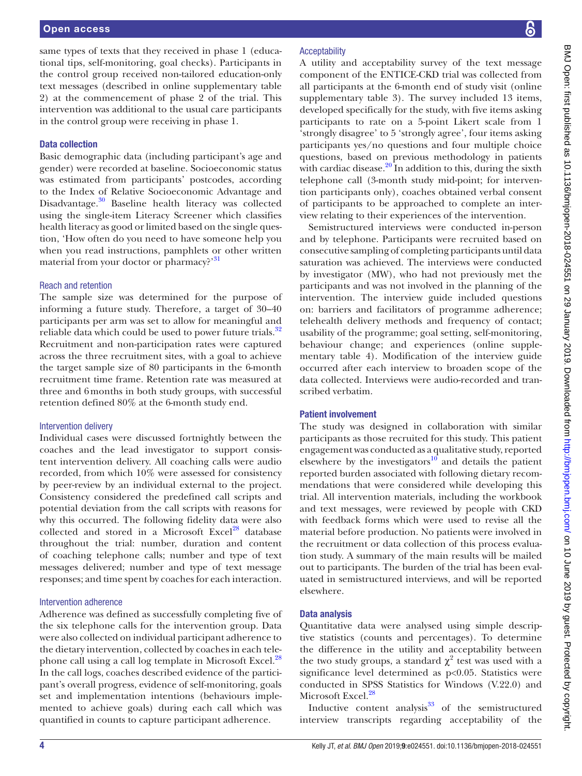same types of texts that they received in phase 1 (educational tips, self-monitoring, goal checks). Participants in the control group received non-tailored education-only text messages (described in online [supplementary table](https://dx.doi.org/10.1136/bmjopen-2018-024551) [2\)](https://dx.doi.org/10.1136/bmjopen-2018-024551) at the commencement of phase 2 of the trial. This intervention was additional to the usual care participants in the control group were receiving in phase 1.

## Data collection

Basic demographic data (including participant's age and gender) were recorded at baseline. Socioeconomic status was estimated from participants' postcodes, according to the Index of Relative Socioeconomic Advantage and Disadvantage.[30](#page-12-13) Baseline health literacy was collected using the single-item Literacy Screener which classifies health literacy as good or limited based on the single question, 'How often do you need to have someone help you when you read instructions, pamphlets or other written material from your doctor or pharmacy?<sup>[31](#page-12-14)</sup>

#### Reach and retention

The sample size was determined for the purpose of informing a future study. Therefore, a target of 30–40 participants per arm was set to allow for meaningful and reliable data which could be used to power future trials.<sup>[32](#page-12-15)</sup> Recruitment and non-participation rates were captured across the three recruitment sites, with a goal to achieve the target sample size of 80 participants in the 6-month recruitment time frame. Retention rate was measured at three and 6months in both study groups, with successful retention defined 80% at the 6-month study end.

#### Intervention delivery

Individual cases were discussed fortnightly between the coaches and the lead investigator to support consistent intervention delivery. All coaching calls were audio recorded, from which 10% were assessed for consistency by peer-review by an individual external to the project. Consistency considered the predefined call scripts and potential deviation from the call scripts with reasons for why this occurred. The following fidelity data were also collected and stored in a Microsoft Excel<sup>28</sup> database throughout the trial: number, duration and content of coaching telephone calls; number and type of text messages delivered; number and type of text message responses; and time spent by coaches for each interaction.

#### Intervention adherence

Adherence was defined as successfully completing five of the six telephone calls for the intervention group. Data were also collected on individual participant adherence to the dietary intervention, collected by coaches in each telephone call using a call log template in Microsoft Excel.<sup>28</sup> In the call logs, coaches described evidence of the participant's overall progress, evidence of self-monitoring, goals set and implementation intentions (behaviours implemented to achieve goals) during each call which was quantified in counts to capture participant adherence.

A utility and acceptability survey of the text message component of the ENTICE-CKD trial was collected from all participants at the 6-month end of study visit (online [supplementary table 3\)](https://dx.doi.org/10.1136/bmjopen-2018-024551). The survey included 13 items, developed specifically for the study, with five items asking participants to rate on a 5-point Likert scale from 1 'strongly disagree' to 5 'strongly agree', four items asking participants yes/no questions and four multiple choice questions, based on previous methodology in patients with cardiac disease. $^{20}$  $^{20}$  $^{20}$  In addition to this, during the sixth telephone call (3-month study mid-point; for intervention participants only), coaches obtained verbal consent of participants to be approached to complete an interview relating to their experiences of the intervention.

Semistructured interviews were conducted in-person and by telephone. Participants were recruited based on consecutive sampling of completing participants until data saturation was achieved. The interviews were conducted by investigator (MW), who had not previously met the participants and was not involved in the planning of the intervention. The interview guide included questions on: barriers and facilitators of programme adherence; telehealth delivery methods and frequency of contact; usability of the programme; goal setting, self-monitoring, behaviour change; and experiences (online [supple](https://dx.doi.org/10.1136/bmjopen-2018-024551)[mentary table 4](https://dx.doi.org/10.1136/bmjopen-2018-024551)). Modification of the interview guide occurred after each interview to broaden scope of the data collected. Interviews were audio-recorded and transcribed verbatim.

# Patient involvement

The study was designed in collaboration with similar participants as those recruited for this study. This patient engagement was conducted as a qualitative study, reported elsewhere by the investigators $^{10}$  and details the patient reported burden associated with following dietary recommendations that were considered while developing this trial. All intervention materials, including the workbook and text messages, were reviewed by people with CKD with feedback forms which were used to revise all the material before production. No patients were involved in the recruitment or data collection of this process evaluation study. A summary of the main results will be mailed out to participants. The burden of the trial has been evaluated in semistructured interviews, and will be reported elsewhere.

#### Data analysis

Quantitative data were analysed using simple descriptive statistics (counts and percentages). To determine the difference in the utility and acceptability between the two study groups, a standard  $\chi^2$  test was used with a significance level determined as p<0.05. Statistics were conducted in SPSS Statistics for Windows (V.22.0) and Microsoft Excel.<sup>[28](#page-12-11)</sup>

Inductive content analysis $33$  of the semistructured interview transcripts regarding acceptability of the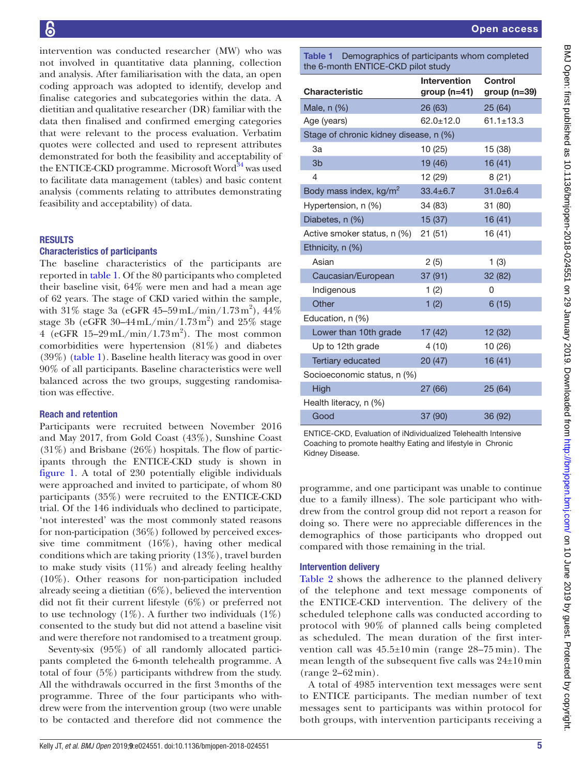intervention was conducted researcher (MW) who was not involved in quantitative data planning, collection and analysis. After familiarisation with the data, an open coding approach was adopted to identify, develop and finalise categories and subcategories within the data. A dietitian and qualitative researcher (DR) familiar with the data then finalised and confirmed emerging categories that were relevant to the process evaluation. Verbatim quotes were collected and used to represent attributes demonstrated for both the feasibility and acceptability of the ENTICE-CKD programme. Microsoft Word<sup>[34](#page-12-17)</sup> was used to facilitate data management (tables) and basic content analysis (comments relating to attributes demonstrating feasibility and acceptability) of data.

## **RESULTS**

#### Characteristics of participants

The baseline characteristics of the participants are reported in [table](#page-5-0) 1. Of the 80 participants who completed their baseline visit, 64% were men and had a mean age of 62 years. The stage of CKD varied within the sample, with  $31\%$  stage 3a (eGFR 45-59mL/min/1.73m<sup>2</sup>),  $44\%$ stage 3b (eGFR 30-44mL/min/1.73m<sup>2</sup>) and 25% stage  $4$  (eGFR 15-29mL/min/1.73m<sup>2</sup>). The most common comorbidities were hypertension (81%) and diabetes (39%) [\(table](#page-5-0) 1). Baseline health literacy was good in over 90% of all participants. Baseline characteristics were well balanced across the two groups, suggesting randomisation was effective.

#### Reach and retention

Participants were recruited between November 2016 and May 2017, from Gold Coast (43%), Sunshine Coast (31%) and Brisbane (26%) hospitals. The flow of participants through the ENTICE-CKD study is shown in [figure](#page-6-0) 1. A total of 230 potentially eligible individuals were approached and invited to participate, of whom 80 participants (35%) were recruited to the ENTICE-CKD trial. Of the 146 individuals who declined to participate, 'not interested' was the most commonly stated reasons for non-participation (36%) followed by perceived excessive time commitment (16%), having other medical conditions which are taking priority (13%), travel burden to make study visits (11%) and already feeling healthy (10%). Other reasons for non-participation included already seeing a dietitian (6%), believed the intervention did not fit their current lifestyle (6%) or preferred not to use technology  $(1\%)$ . A further two individuals  $(1\%)$ consented to the study but did not attend a baseline visit and were therefore not randomised to a treatment group.

Seventy-six (95%) of all randomly allocated participants completed the 6-month telehealth programme. A total of four (5%) participants withdrew from the study. All the withdrawals occurred in the first 3months of the programme. Three of the four participants who withdrew were from the intervention group (two were unable to be contacted and therefore did not commence the

<span id="page-5-0"></span>Table 1 Demographics of participants whom completed the 6-month ENTICE-CKD pilot study

| <b>Characteristic</b>                                         | <b>Intervention</b><br>group $(n=41)$ | Control<br>group (n=39) |  |
|---------------------------------------------------------------|---------------------------------------|-------------------------|--|
| Male, n (%)                                                   | 26 (63)                               | 25(64)                  |  |
| Age (years)                                                   | $62.0 \pm 12.0$                       | $61.1 \pm 13.3$         |  |
| Stage of chronic kidney disease, n (%)                        |                                       |                         |  |
| 3a                                                            | 10 (25)                               | 15 (38)                 |  |
| 3 <sub>b</sub>                                                | 19 (46)                               | 16(41)                  |  |
| 4                                                             | 12 (29)                               | 8(21)                   |  |
| Body mass index, $kg/m^2$                                     | $33.4 \pm 6.7$                        | $31.0 \pm 6.4$          |  |
| Hypertension, n (%)                                           | 34 (83)                               | 31 (80)                 |  |
| Diabetes, n (%)                                               | 15(37)                                | 16(41)                  |  |
| Active smoker status, n (%)                                   | 21(51)                                | 16 (41)                 |  |
| Ethnicity, n (%)                                              |                                       |                         |  |
| Asian                                                         | 2(5)                                  | 1(3)                    |  |
| Caucasian/European                                            | 37 (91)                               | 32 (82)                 |  |
| Indigenous                                                    | 1(2)                                  | 0                       |  |
| Other                                                         | 1(2)                                  | 6(15)                   |  |
| Education, n (%)                                              |                                       |                         |  |
| Lower than 10th grade                                         | 17 (42)                               | 12 (32)                 |  |
| Up to 12th grade                                              | 4(10)                                 | 10 (26)                 |  |
| Tertiary educated                                             | 20(47)                                | 16 (41)                 |  |
| Socioeconomic status, n (%)                                   |                                       |                         |  |
| High                                                          | 27 (66)                               | 25 (64)                 |  |
| Health literacy, n (%)                                        |                                       |                         |  |
| Good                                                          | 37 (90)                               | 36 (92)                 |  |
| ENTICE-CKD. Evaluation of iNdividualized Telehealth Intensive |                                       |                         |  |

ENTICE-CKD, Evaluation of iNdividualized Telehealth Intensive Coaching to promote healthy Eating and lifestyle in Chronic Kidney Disease.

programme, and one participant was unable to continue due to a family illness). The sole participant who withdrew from the control group did not report a reason for doing so. There were no appreciable differences in the demographics of those participants who dropped out compared with those remaining in the trial.

## Intervention delivery

[Table](#page-7-0) 2 shows the adherence to the planned delivery of the telephone and text message components of the ENTICE-CKD intervention. The delivery of the scheduled telephone calls was conducted according to protocol with 90% of planned calls being completed as scheduled. The mean duration of the first intervention call was 45.5±10 min (range 28–75 min). The mean length of the subsequent five calls was 24±10 min (range 2–62 min).

A total of 4985 intervention text messages were sent to ENTICE participants. The median number of text messages sent to participants was within protocol for both groups, with intervention participants receiving a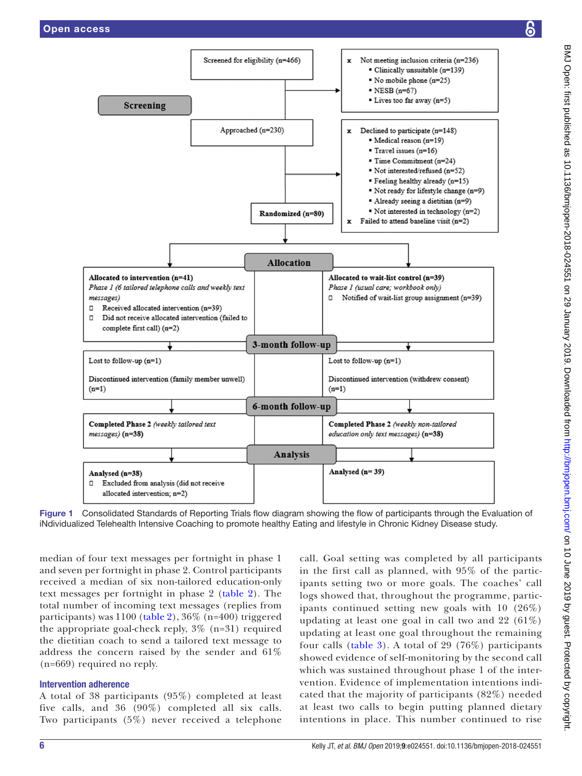$\Box$  $\Box$ 



Figure 1 Consolidated Standards of Reporting Trials flow diagram showing the flow of participants through the Evaluation of iNdividualized Telehealth Intensive Coaching to promote healthy Eating and lifestyle in Chronic Kidney Disease study.

median of four text messages per fortnight in phase 1 and seven per fortnight in phase 2. Control participants received a median of six non-tailored education-only text messages per fortnight in phase 2 ([table](#page-7-0) 2). The total number of incoming text messages (replies from participants) was  $1100$  [\(table](#page-7-0) 2),  $36\%$  (n=400) triggered the appropriate goal-check reply, 3% (n=31) required the dietitian coach to send a tailored text message to address the concern raised by the sender and 61% (n=669) required no reply.

<span id="page-6-0"></span>allocated intervention; n=2)

# Intervention adherence

A total of 38 participants (95%) completed at least five calls, and 36 (90%) completed all six calls. Two participants (5%) never received a telephone

call. Goal setting was completed by all participants in the first call as planned, with 95% of the participants setting two or more goals. The coaches' call logs showed that, throughout the programme, participants continued setting new goals with 10 (26%) updating at least one goal in call two and 22 (61%) updating at least one goal throughout the remaining four calls ([table](#page-8-0) 3). A total of 29 (76%) participants showed evidence of self-monitoring by the second call which was sustained throughout phase 1 of the intervention. Evidence of implementation intentions indicated that the majority of participants (82%) needed at least two calls to begin putting planned dietary intentions in place. This number continued to rise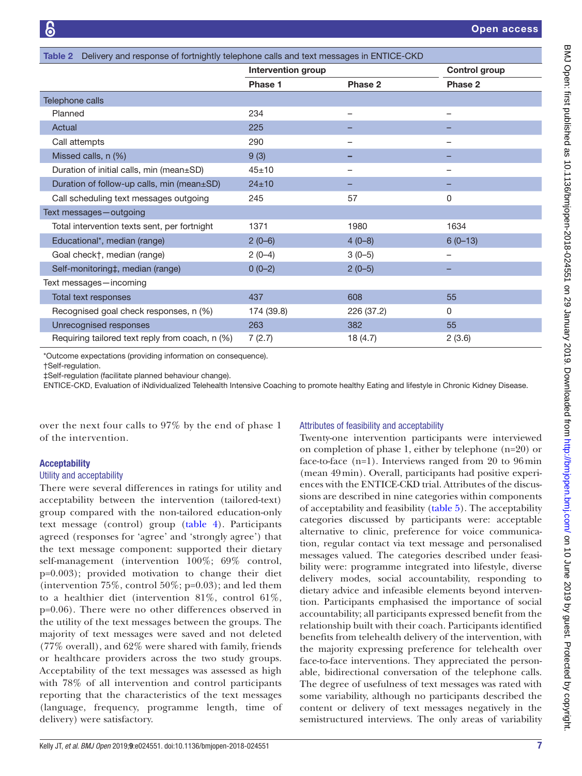<span id="page-7-0"></span>

| Delivery and response of fortnightly telephone calls and text messages in ENTICE-CKD<br>Table 2 |                           |                          |                          |
|-------------------------------------------------------------------------------------------------|---------------------------|--------------------------|--------------------------|
|                                                                                                 | <b>Intervention group</b> |                          | <b>Control group</b>     |
|                                                                                                 | Phase 1                   | Phase 2                  | Phase 2                  |
| Telephone calls                                                                                 |                           |                          |                          |
| Planned                                                                                         | 234                       | $\overline{\phantom{0}}$ | -                        |
| Actual                                                                                          | 225                       |                          |                          |
| Call attempts                                                                                   | 290                       | $\overline{\phantom{0}}$ | $\overline{\phantom{0}}$ |
| Missed calls, n (%)                                                                             | 9(3)                      |                          |                          |
| Duration of initial calls, min (mean±SD)                                                        | $45 + 10$                 | $\overline{\phantom{0}}$ | -                        |
| Duration of follow-up calls, min (mean±SD)                                                      | $24 + 10$                 | -                        |                          |
| Call scheduling text messages outgoing                                                          | 245                       | 57                       | 0                        |
| Text messages-outgoing                                                                          |                           |                          |                          |
| Total intervention texts sent, per fortnight                                                    | 1371                      | 1980                     | 1634                     |
| Educational*, median (range)                                                                    | $2(0-6)$                  | $4(0-8)$                 | $6(0-13)$                |
| Goal check†, median (range)                                                                     | $2(0-4)$                  | $3(0-5)$                 | -                        |
| Self-monitoring‡, median (range)                                                                | $0(0-2)$                  | $2(0-5)$                 |                          |
| Text messages-incoming                                                                          |                           |                          |                          |
| Total text responses                                                                            | 437                       | 608                      | 55                       |
| Recognised goal check responses, n (%)                                                          | 174 (39.8)                | 226 (37.2)               | 0                        |
| Unrecognised responses                                                                          | 263                       | 382                      | 55                       |
| Requiring tailored text reply from coach, n (%)                                                 | 7(2.7)                    | 18(4.7)                  | 2(3.6)                   |

\*Outcome expectations (providing information on consequence).

†Self-regulation.

‡Self-regulation (facilitate planned behaviour change).

ENTICE-CKD, Evaluation of iNdividualized Telehealth Intensive Coaching to promote healthy Eating and lifestyle in Chronic Kidney Disease.

over the next four calls to 97% by the end of phase 1 of the intervention.

#### **Acceptability**

#### Utility and acceptability

There were several differences in ratings for utility and acceptability between the intervention (tailored-text) group compared with the non-tailored education-only text message (control) group ([table](#page-8-1) 4). Participants agreed (responses for 'agree' and 'strongly agree') that the text message component: supported their dietary self-management (intervention 100%; 69% control, p=0.003); provided motivation to change their diet (intervention  $75\%$ , control  $50\%$ ; p=0.03); and led them to a healthier diet (intervention 81%, control 61%, p=0.06). There were no other differences observed in the utility of the text messages between the groups. The majority of text messages were saved and not deleted (77% overall), and 62% were shared with family, friends or healthcare providers across the two study groups. Acceptability of the text messages was assessed as high with 78% of all intervention and control participants reporting that the characteristics of the text messages (language, frequency, programme length, time of delivery) were satisfactory.

# Attributes of feasibility and acceptability

Twenty-one intervention participants were interviewed on completion of phase 1, either by telephone (n=20) or face-to-face (n=1). Interviews ranged from 20 to 96min (mean 49min). Overall, participants had positive experiences with the ENTICE-CKD trial. Attributes of the discussions are described in nine categories within components of acceptability and feasibility ([table](#page-9-0) 5). The acceptability categories discussed by participants were: acceptable alternative to clinic, preference for voice communication, regular contact via text message and personalised messages valued. The categories described under feasibility were: programme integrated into lifestyle, diverse delivery modes, social accountability, responding to dietary advice and infeasible elements beyond intervention. Participants emphasised the importance of social accountability; all participants expressed benefit from the relationship built with their coach. Participants identified benefits from telehealth delivery of the intervention, with the majority expressing preference for telehealth over face-to-face interventions. They appreciated the personable, bidirectional conversation of the telephone calls. The degree of usefulness of text messages was rated with some variability, although no participants described the content or delivery of text messages negatively in the semistructured interviews. The only areas of variability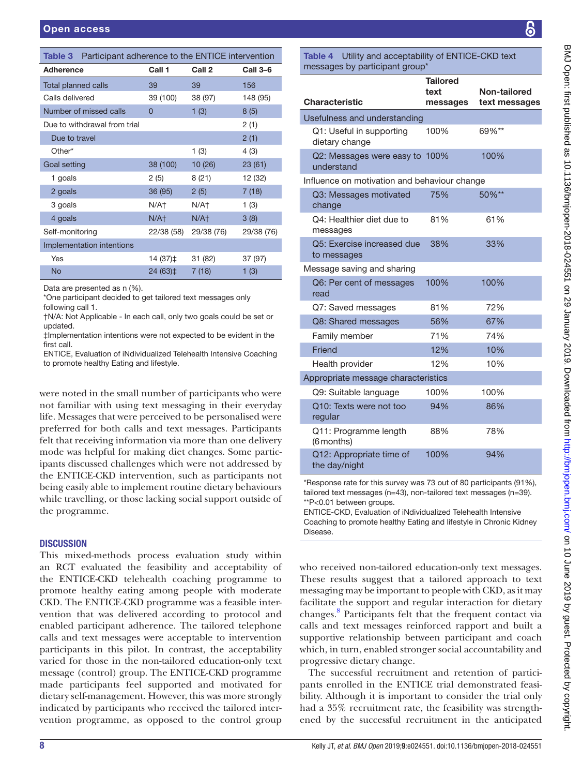<span id="page-8-0"></span>

| <b>Table 3</b> Participant adherence to the ENTICE intervention |                  |            |            |
|-----------------------------------------------------------------|------------------|------------|------------|
| <b>Adherence</b>                                                | Call 1           | Call 2     | Call 3-6   |
| Total planned calls                                             | 39               | 39         | 156        |
| Calls delivered                                                 | 39 (100)         | 38 (97)    | 148 (95)   |
| Number of missed calls                                          | 0                | 1(3)       | 8(5)       |
| Due to withdrawal from trial                                    |                  |            | 2(1)       |
| Due to travel                                                   |                  |            | 2(1)       |
| Other*                                                          |                  | 1 $(3)$    | 4(3)       |
| Goal setting                                                    | 38 (100)         | 10(26)     | 23(61)     |
| 1 goals                                                         | 2(5)             | 8(21)      | 12 (32)    |
| 2 goals                                                         | 36(95)           | 2(5)       | 7(18)      |
| 3 goals                                                         | N/A <sup>+</sup> | N/A†       | 1 $(3)$    |
| 4 goals                                                         | $N/A+$           | $N/A+$     | 3(8)       |
| Self-monitoring                                                 | 22/38 (58)       | 29/38 (76) | 29/38 (76) |
| Implementation intentions                                       |                  |            |            |
| Yes                                                             | 14 (37)‡         | 31 (82)    | 37 (97)    |
| <b>No</b>                                                       | $24(63)$ ‡       | 7(18)      | 1(3)       |
|                                                                 |                  |            |            |

Data are presented as n (%).

\*One participant decided to get tailored text messages only following call 1.

†N/A: Not Applicable - In each call, only two goals could be set or updated.

‡Implementation intentions were not expected to be evident in the first call.

ENTICE, Evaluation of iNdividualized Telehealth Intensive Coaching to promote healthy Eating and lifestyle.

were noted in the small number of participants who were not familiar with using text messaging in their everyday life. Messages that were perceived to be personalised were preferred for both calls and text messages. Participants felt that receiving information via more than one delivery mode was helpful for making diet changes. Some participants discussed challenges which were not addressed by the ENTICE-CKD intervention, such as participants not being easily able to implement routine dietary behaviours while travelling, or those lacking social support outside of the programme.

#### **DISCUSSION**

This mixed-methods process evaluation study within an RCT evaluated the feasibility and acceptability of the ENTICE-CKD telehealth coaching programme to promote healthy eating among people with moderate CKD. The ENTICE-CKD programme was a feasible intervention that was delivered according to protocol and enabled participant adherence. The tailored telephone calls and text messages were acceptable to intervention participants in this pilot. In contrast, the acceptability varied for those in the non-tailored education-only text message (control) group. The ENTICE-CKD programme made participants feel supported and motivated for dietary self-management. However, this was more strongly indicated by participants who received the tailored intervention programme, as opposed to the control group

# <span id="page-8-1"></span>Table 4 Utility and acceptability of ENTICE-CKD text messages by participant group<sup>\*</sup>

|                                              | <b>Tailored</b><br>text | Non-tailored  |
|----------------------------------------------|-------------------------|---------------|
| <b>Characteristic</b>                        | messages                | text messages |
| Usefulness and understanding                 |                         |               |
| Q1: Useful in supporting<br>dietary change   | 100%                    | 69%**         |
| Q2: Messages were easy to 100%<br>understand |                         | 100%          |
| Influence on motivation and behaviour change |                         |               |
| Q3: Messages motivated<br>change             | 75%                     | 50%**         |
| Q4: Healthier diet due to<br>messages        | 81%                     | 61%           |
| Q5: Exercise increased due<br>to messages    | 38%                     | 33%           |
| Message saving and sharing                   |                         |               |
| Q6: Per cent of messages<br>read             | 100%                    | 100%          |
| Q7: Saved messages                           | 81%                     | 72%           |
| Q8: Shared messages                          | 56%                     | 67%           |
| Family member                                | 71%                     | 74%           |
| Friend                                       | 12%                     | 10%           |
| Health provider                              | 12%                     | 10%           |
| Appropriate message characteristics          |                         |               |
| Q9: Suitable language                        | 100%                    | 100%          |
| Q10: Texts were not too<br>regular           | 94%                     | 86%           |
| Q11: Programme length<br>(6 months)          | 88%                     | 78%           |
| Q12: Appropriate time of<br>the day/night    | 100%                    | 94%           |

\*Response rate for this survey was 73 out of 80 participants (91%), tailored text messages (n=43), non-tailored text messages (n=39). \*\*P<0.01 between groups.

ENTICE-CKD, Evaluation of iNdividualized Telehealth Intensive Coaching to promote healthy Eating and lifestyle in Chronic Kidney Disease.

who received non-tailored education-only text messages. These results suggest that a tailored approach to text messaging may be important to people with CKD, as it may facilitate the support and regular interaction for dietary changes.[8](#page-11-5) Participants felt that the frequent contact via calls and text messages reinforced rapport and built a supportive relationship between participant and coach which, in turn, enabled stronger social accountability and progressive dietary change.

The successful recruitment and retention of participants enrolled in the ENTICE trial demonstrated feasibility. Although it is important to consider the trial only had a 35% recruitment rate, the feasibility was strengthened by the successful recruitment in the anticipated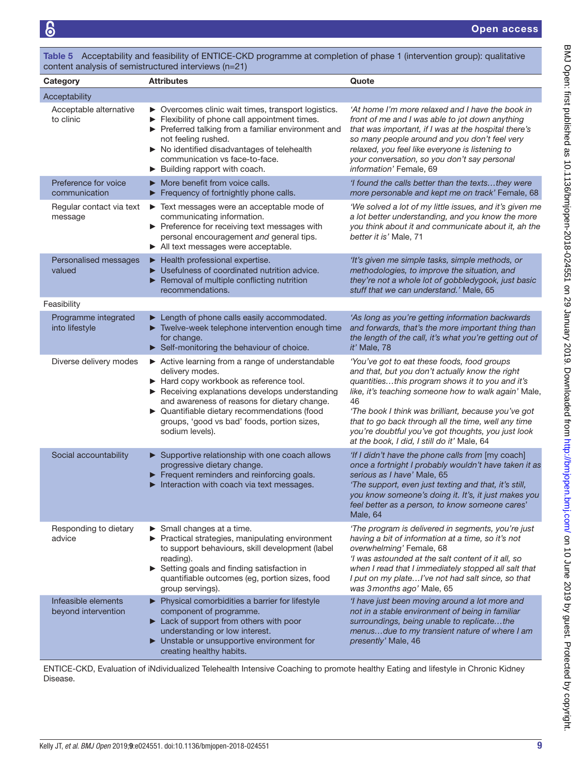<span id="page-9-0"></span>

| Table 5 Acceptability and feasibility of ENTICE-CKD programme at completion of phase 1 (intervention group): qualitative |  |  |
|--------------------------------------------------------------------------------------------------------------------------|--|--|
| content analysis of semistructured interviews (n=21)                                                                     |  |  |

| Category                                   | CONTENT analysis Of Scribstructured interviews (N–2 I)<br><b>Attributes</b>                                                                                                                                                                                                                                                     | Quote                                                                                                                                                                                                                                                                                                                                                                                                                              |
|--------------------------------------------|---------------------------------------------------------------------------------------------------------------------------------------------------------------------------------------------------------------------------------------------------------------------------------------------------------------------------------|------------------------------------------------------------------------------------------------------------------------------------------------------------------------------------------------------------------------------------------------------------------------------------------------------------------------------------------------------------------------------------------------------------------------------------|
| Acceptability                              |                                                                                                                                                                                                                                                                                                                                 |                                                                                                                                                                                                                                                                                                                                                                                                                                    |
| Acceptable alternative<br>to clinic        | ▶ Overcomes clinic wait times, transport logistics.<br>Flexibility of phone call appointment times.<br>Preferred talking from a familiar environment and<br>not feeling rushed.<br>No identified disadvantages of telehealth<br>communication vs face-to-face.<br>$\triangleright$ Building rapport with coach.                 | 'At home I'm more relaxed and I have the book in<br>front of me and I was able to jot down anything<br>that was important, if I was at the hospital there's<br>so many people around and you don't feel very<br>relaxed, you feel like everyone is listening to<br>your conversation, so you don't say personal<br><i>information'</i> Female, 69                                                                                  |
| Preference for voice<br>communication      | More benefit from voice calls.<br>Frequency of fortnightly phone calls.                                                                                                                                                                                                                                                         | 'I found the calls better than the textsthey were<br>more personable and kept me on track' Female, 68                                                                                                                                                                                                                                                                                                                              |
| Regular contact via text<br>message        | Text messages were an acceptable mode of<br>communicating information.<br>▶ Preference for receiving text messages with<br>personal encouragement and general tips.<br>All text messages were acceptable.                                                                                                                       | 'We solved a lot of my little issues, and it's given me<br>a lot better understanding, and you know the more<br>you think about it and communicate about it, ah the<br>better it is' Male, 71                                                                                                                                                                                                                                      |
| Personalised messages<br>valued            | $\blacktriangleright$ Health professional expertise.<br>Usefulness of coordinated nutrition advice.<br>Removal of multiple conflicting nutrition<br>recommendations.                                                                                                                                                            | 'It's given me simple tasks, simple methods, or<br>methodologies, to improve the situation, and<br>they're not a whole lot of gobbledygook, just basic<br>stuff that we can understand.' Male, 65                                                                                                                                                                                                                                  |
| Feasibility                                |                                                                                                                                                                                                                                                                                                                                 |                                                                                                                                                                                                                                                                                                                                                                                                                                    |
| Programme integrated<br>into lifestyle     | ► Length of phone calls easily accommodated.<br>Twelve-week telephone intervention enough time<br>for change.<br>Self-monitoring the behaviour of choice.                                                                                                                                                                       | 'As long as you're getting information backwards<br>and forwards, that's the more important thing than<br>the length of the call, it's what you're getting out of<br>it' Male, 78                                                                                                                                                                                                                                                  |
| Diverse delivery modes                     | ► Active learning from a range of understandable<br>delivery modes.<br>Hard copy workbook as reference tool.<br>Receiving explanations develops understanding<br>and awareness of reasons for dietary change.<br>▶ Quantifiable dietary recommendations (food<br>groups, 'good vs bad' foods, portion sizes,<br>sodium levels). | 'You've got to eat these foods, food groups<br>and that, but you don't actually know the right<br>quantitiesthis program shows it to you and it's<br>like, it's teaching someone how to walk again' Male,<br>46<br>'The book I think was brilliant, because you've got<br>that to go back through all the time, well any time<br>you're doubtful you've got thoughts, you just look<br>at the book, I did, I still do it' Male, 64 |
| Social accountability                      | Supportive relationship with one coach allows<br>progressive dietary change.<br>Frequent reminders and reinforcing goals.<br>$\blacktriangleright$ Interaction with coach via text messages.                                                                                                                                    | 'If I didn't have the phone calls from [my coach]<br>once a fortnight I probably wouldn't have taken it as<br>serious as I have' Male, 65<br>'The support, even just texting and that, it's still,<br>you know someone's doing it. It's, it just makes you<br>feel better as a person, to know someone cares'<br>Male, 64                                                                                                          |
| Responding to dietary<br>advice            | $\triangleright$ Small changes at a time.<br>▶ Practical strategies, manipulating environment<br>to support behaviours, skill development (label<br>reading).<br>Setting goals and finding satisfaction in<br>quantifiable outcomes (eg, portion sizes, food<br>group servings).                                                | 'The program is delivered in segments, you're just<br>having a bit of information at a time, so it's not<br>overwhelming' Female, 68<br>'I was astounded at the salt content of it all, so<br>when I read that I immediately stopped all salt that<br>I put on my plateI've not had salt since, so that<br>was 3 months ago' Male, 65                                                                                              |
| Infeasible elements<br>beyond intervention | ▶ Physical comorbidities a barrier for lifestyle<br>component of programme.<br>Lack of support from others with poor<br>understanding or low interest.<br>• Unstable or unsupportive environment for<br>creating healthy habits.                                                                                                | 'I have just been moving around a lot more and<br>not in a stable environment of being in familiar<br>surroundings, being unable to replicatethe<br>menusdue to my transient nature of where I am<br>presently' Male, 46                                                                                                                                                                                                           |

ENTICE-CKD, Evaluation of iNdividualized Telehealth Intensive Coaching to promote healthy Eating and lifestyle in Chronic Kidney Disease.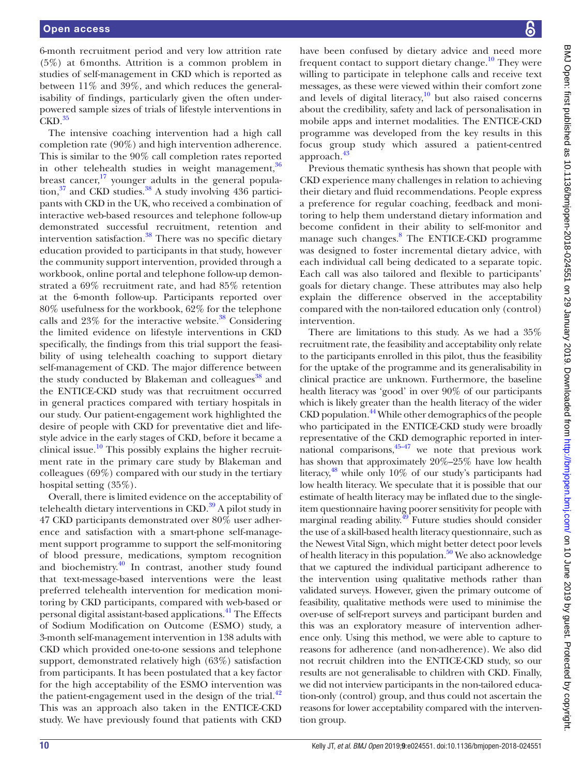6-month recruitment period and very low attrition rate (5%) at 6months. Attrition is a common problem in studies of self-management in CKD which is reported as between 11% and 39%, and which reduces the generalisability of findings, particularly given the often underpowered sample sizes of trials of lifestyle interventions in  $CKD.<sup>35</sup>$  $CKD.<sup>35</sup>$  $CKD.<sup>35</sup>$ 

The intensive coaching intervention had a high call completion rate (90%) and high intervention adherence. This is similar to the 90% call completion rates reported in other telehealth studies in weight management,  $36$ breast cancer, $17$  younger adults in the general population,  $37$  and CKD studies.  $38$  A study involving 436 participants with CKD in the UK, who received a combination of interactive web-based resources and telephone follow-up demonstrated successful recruitment, retention and intervention satisfaction.<sup>38</sup> There was no specific dietary education provided to participants in that study, however the community support intervention, provided through a workbook, online portal and telephone follow-up demonstrated a 69% recruitment rate, and had 85% retention at the 6-month follow-up. Participants reported over  $80\%$  usefulness for the workbook,  $62\%$  for the telephone calls and  $23\%$  for the interactive website.<sup>[38](#page-12-21)</sup> Considering the limited evidence on lifestyle interventions in CKD specifically, the findings from this trial support the feasibility of using telehealth coaching to support dietary self-management of CKD. The major difference between the study conducted by Blakeman and colleagues<sup>[38](#page-12-21)</sup> and the ENTICE-CKD study was that recruitment occurred in general practices compared with tertiary hospitals in our study. Our patient-engagement work highlighted the desire of people with CKD for preventative diet and lifestyle advice in the early stages of CKD, before it became a clinical issue.<sup>10</sup> This possibly explains the higher recruitment rate in the primary care study by Blakeman and colleagues (69%) compared with our study in the tertiary hospital setting (35%).

Overall, there is limited evidence on the acceptability of telehealth dietary interventions in CKD. $^{39}$  A pilot study in 47 CKD participants demonstrated over 80% user adherence and satisfaction with a smart-phone self-management support programme to support the self-monitoring of blood pressure, medications, symptom recognition and biochemistry. $40$  In contrast, another study found that text-message-based interventions were the least preferred telehealth intervention for medication monitoring by CKD participants, compared with web-based or personal digital assistant-based applications[.41](#page-12-24) The Effects of Sodium Modification on Outcome (ESMO) study, a 3-month self-management intervention in 138 adults with CKD which provided one-to-one sessions and telephone support, demonstrated relatively high (63%) satisfaction from participants. It has been postulated that a key factor for the high acceptability of the ESMO intervention was the patient-engagement used in the design of the trial. $42$ This was an approach also taken in the ENTICE-CKD study. We have previously found that patients with CKD

have been confused by dietary advice and need more frequent contact to support dietary change.<sup>[10](#page-11-9)</sup> They were willing to participate in telephone calls and receive text messages, as these were viewed within their comfort zone and levels of digital literacy, $10$  but also raised concerns about the credibility, safety and lack of personalisation in mobile apps and internet modalities. The ENTICE-CKD programme was developed from the key results in this focus group study which assured a patient-centred approach. $43$ 

Previous thematic synthesis has shown that people with CKD experience many challenges in relation to achieving their dietary and fluid recommendations. People express a preference for regular coaching, feedback and monitoring to help them understand dietary information and become confident in their ability to self-monitor and manage such changes.<sup>8</sup> The ENTICE-CKD programme was designed to foster incremental dietary advice, with each individual call being dedicated to a separate topic. Each call was also tailored and flexible to participants' goals for dietary change. These attributes may also help explain the difference observed in the acceptability compared with the non-tailored education only (control) intervention.

There are limitations to this study. As we had a 35% recruitment rate, the feasibility and acceptability only relate to the participants enrolled in this pilot, thus the feasibility for the uptake of the programme and its generalisability in clinical practice are unknown. Furthermore, the baseline health literacy was 'good' in over 90% of our participants which is likely greater than the health literacy of the wider CKD population.<sup>44</sup> While other demographics of the people who participated in the ENTICE-CKD study were broadly representative of the CKD demographic reported in international comparisons, $45-47$  we note that previous work has shown that approximately 20%–25% have low health literacy, $48$  while only 10% of our study's participants had low health literacy. We speculate that it is possible that our estimate of health literacy may be inflated due to the singleitem questionnaire having poorer sensitivity for people with marginal reading ability.<sup>49</sup> Future studies should consider the use of a skill-based health literacy questionnaire, such as the Newest Vital Sign, which might better detect poor levels of health literacy in this population.<sup>50</sup> We also acknowledge that we captured the individual participant adherence to the intervention using qualitative methods rather than validated surveys. However, given the primary outcome of feasibility, qualitative methods were used to minimise the over-use of self-report surveys and participant burden and this was an exploratory measure of intervention adherence only. Using this method, we were able to capture to reasons for adherence (and non-adherence). We also did not recruit children into the ENTICE-CKD study, so our results are not generalisable to children with CKD. Finally, we did not interview participants in the non-tailored education-only (control) group, and thus could not ascertain the reasons for lower acceptability compared with the intervention group.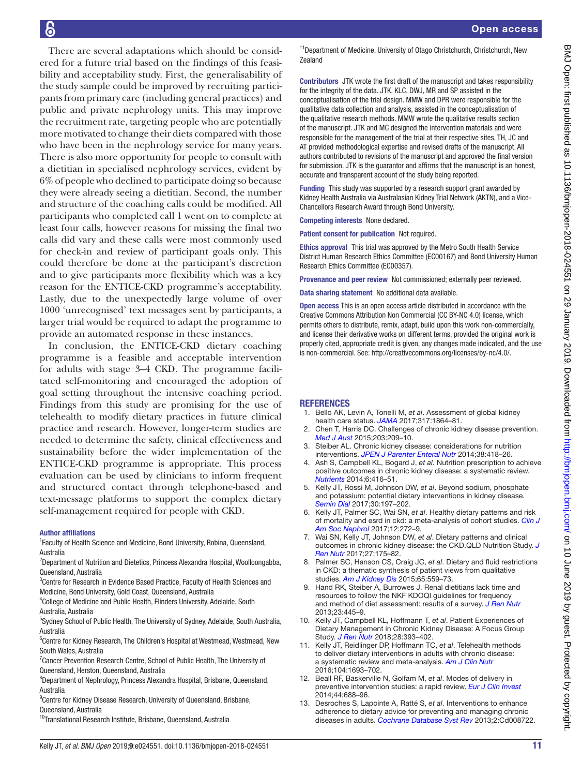There are several adaptations which should be considered for a future trial based on the findings of this feasibility and acceptability study. First, the generalisability of the study sample could be improved by recruiting participants from primary care (including general practices) and public and private nephrology units. This may improve the recruitment rate, targeting people who are potentially more motivated to change their diets compared with those who have been in the nephrology service for many years. There is also more opportunity for people to consult with a dietitian in specialised nephrology services, evident by 6% of people who declined to participate doing so because they were already seeing a dietitian. Second, the number and structure of the coaching calls could be modified. All participants who completed call 1 went on to complete at least four calls, however reasons for missing the final two calls did vary and these calls were most commonly used for check-in and review of participant goals only. This could therefore be done at the participant's discretion and to give participants more flexibility which was a key reason for the ENTICE-CKD programme's acceptability. Lastly, due to the unexpectedly large volume of over 1000 'unrecognised' text messages sent by participants, a larger trial would be required to adapt the programme to provide an automated response in these instances.

In conclusion, the ENTICE-CKD dietary coaching programme is a feasible and acceptable intervention for adults with stage 3–4 CKD. The programme facilitated self-monitoring and encouraged the adoption of goal setting throughout the intensive coaching period. Findings from this study are promising for the use of telehealth to modify dietary practices in future clinical practice and research. However, longer-term studies are needed to determine the safety, clinical effectiveness and sustainability before the wider implementation of the ENTICE-CKD programme is appropriate. This process evaluation can be used by clinicians to inform frequent and structured contact through telephone-based and text-message platforms to support the complex dietary self-management required for people with CKD.

#### Author affiliations

<sup>1</sup> Faculty of Health Science and Medicine, Bond University, Robina, Queensland, Australia

- <sup>2</sup>Department of Nutrition and Dietetics, Princess Alexandra Hospital, Woolloongabba, Queensland, Australia
- <sup>3</sup>Centre for Research in Evidence Based Practice, Faculty of Health Sciences and Medicine, Bond University, Gold Coast, Queensland, Australia
- 4 College of Medicine and Public Health, Flinders University, Adelaide, South Australia, Australia
- <sup>5</sup>Sydney School of Public Health, The University of Sydney, Adelaide, South Australia, Australia
- <sup>6</sup>Centre for Kidney Research, The Children's Hospital at Westmead, Westmead, New South Wales, Australia
- <sup>7</sup> Cancer Prevention Research Centre, School of Public Health, The University of Queensland, Herston, Queensland, Australia
- 8 Department of Nephrology, Princess Alexandra Hospital, Brisbane, Queensland, Australia
- <sup>9</sup> Centre for Kidney Disease Research, University of Queensland, Brisbane, Queensland, Australia
- <sup>10</sup>Translational Research Institute, Brisbane, Queensland, Australia

Open access

Contributors JTK wrote the first draft of the manuscript and takes responsibility for the integrity of the data. JTK, KLC, DWJ, MR and SP assisted in the conceptualisation of the trial design. MMW and DPR were responsible for the qualitative data collection and analysis, assisted in the conceptualisation of the qualitative research methods. MMW wrote the qualitative results section of the manuscript. JTK and MC designed the intervention materials and were responsible for the management of the trial at their respective sites. TH, JC and AT provided methodological expertise and revised drafts of the manuscript. All authors contributed to revisions of the manuscript and approved the final version for submission. JTK is the guarantor and affirms that the manuscript is an honest, accurate and transparent account of the study being reported.

Funding This study was supported by a research support grant awarded by Kidney Health Australia via Australasian Kidney Trial Network (AKTN), and a Vice-Chancellors Research Award through Bond University.

Competing interests None declared.

Zealand

Patient consent for publication Not required.

Ethics approval This trial was approved by the Metro South Health Service District Human Research Ethics Committee (EC00167) and Bond University Human Research Ethics Committee (EC00357).

Provenance and peer review Not commissioned; externally peer reviewed.

Data sharing statement No additional data available.

Open access This is an open access article distributed in accordance with the Creative Commons Attribution Non Commercial (CC BY-NC 4.0) license, which permits others to distribute, remix, adapt, build upon this work non-commercially, and license their derivative works on different terms, provided the original work is properly cited, appropriate credit is given, any changes made indicated, and the use is non-commercial. See: [http://creativecommons.org/licenses/by-nc/4.0/.](http://creativecommons.org/licenses/by-nc/4.0/)

#### **REFERENCES**

- <span id="page-11-0"></span>1. Bello AK, Levin A, Tonelli M, *et al*. Assessment of global kidney health care status. *[JAMA](http://dx.doi.org/10.1001/jama.2017.4046)* 2017;317:1864–81.
- <span id="page-11-1"></span>2. Chen T, Harris DC. Challenges of chronic kidney disease prevention. *[Med J Aust](http://dx.doi.org/10.5694/mja15.00241)* 2015;203:209–10.
- <span id="page-11-2"></span>3. Steiber AL. Chronic kidney disease: considerations for nutrition interventions. *[JPEN J Parenter Enteral Nutr](http://dx.doi.org/10.1177/0148607114527315)* 2014;38:418–26.
- 4. Ash S, Campbell KL, Bogard J, *et al*. Nutrition prescription to achieve positive outcomes in chronic kidney disease: a systematic review. *[Nutrients](http://dx.doi.org/10.3390/nu6010416)* 2014;6:416–51.
- <span id="page-11-3"></span>5. Kelly JT, Rossi M, Johnson DW, *et al*. Beyond sodium, phosphate and potassium: potential dietary interventions in kidney disease. *[Semin Dial](http://dx.doi.org/10.1111/sdi.12580)* 2017;30:197–202.
- <span id="page-11-4"></span>6. Kelly JT, Palmer SC, Wai SN, *et al*. Healthy dietary patterns and risk of mortality and esrd in ckd: a meta-analysis of cohort studies. *[Clin J](http://dx.doi.org/10.2215/CJN.06190616)  [Am Soc Nephrol](http://dx.doi.org/10.2215/CJN.06190616)* 2017;12:272–9.
- 7. Wai SN, Kelly JT, Johnson DW, *et al*. Dietary patterns and clinical outcomes in chronic kidney disease: the CKD.QLD Nutrition Study. *[J](http://dx.doi.org/10.1053/j.jrn.2016.10.005)  [Ren Nutr](http://dx.doi.org/10.1053/j.jrn.2016.10.005)* 2017;27:175–82.
- <span id="page-11-5"></span>8. Palmer SC, Hanson CS, Craig JC, *et al*. Dietary and fluid restrictions in CKD: a thematic synthesis of patient views from qualitative studies. *[Am J Kidney Dis](http://dx.doi.org/10.1053/j.ajkd.2014.09.012)* 2015;65:559–73.
- <span id="page-11-6"></span>9. Hand RK, Steiber A, Burrowes J. Renal dietitians lack time and resources to follow the NKF KDOQI guidelines for frequency and method of diet assessment: results of a survey. *[J Ren Nutr](http://dx.doi.org/10.1053/j.jrn.2012.08.010)* 2013;23:445–9.
- <span id="page-11-9"></span>10. Kelly JT, Campbell KL, Hoffmann T, *et al*. Patient Experiences of Dietary Management in Chronic Kidney Disease: A Focus Group Study. *[J Ren Nutr](http://dx.doi.org/10.1053/j.jrn.2017.07.008)* 2018;28:393–402.
- <span id="page-11-7"></span>11. Kelly JT, Reidlinger DP, Hoffmann TC, *et al*. Telehealth methods to deliver dietary interventions in adults with chronic disease: a systematic review and meta-analysis. *[Am J Clin Nutr](http://dx.doi.org/10.3945/ajcn.116.136333)* 2016;104:1693–702.
- 12. Beall RF, Baskerville N, Golfam M, *et al*. Modes of delivery in preventive intervention studies: a rapid review. *[Eur J Clin Invest](http://dx.doi.org/10.1111/eci.12279)* 2014;44:688–96.
- <span id="page-11-8"></span>13. Desroches S, Lapointe A, Ratté S, *et al*. Interventions to enhance adherence to dietary advice for preventing and managing chronic diseases in adults. *[Cochrane Database Syst Rev](http://dx.doi.org/10.1002/14651858.CD008722.pub2)* 2013;2:Cd008722.